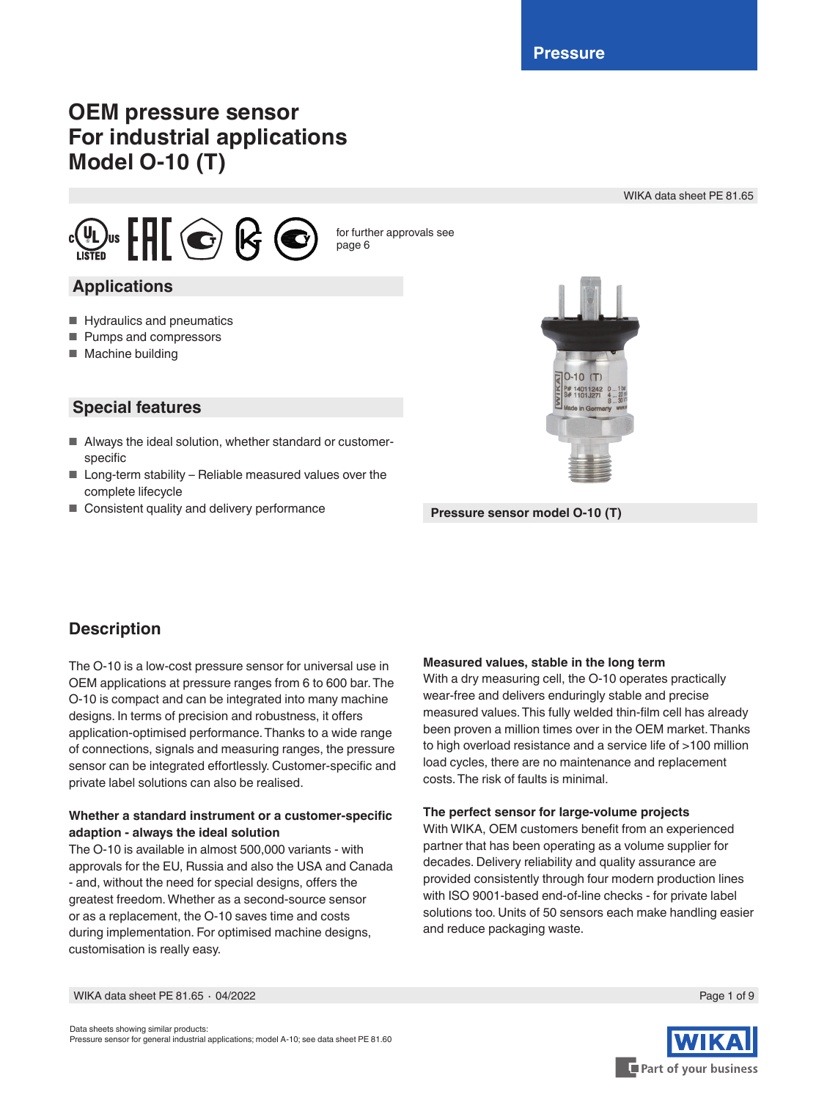# **OEM pressure sensor For industrial applications Model O-10 (T)**

WIKA data sheet PE 81.65



for further approvals see page [6](#page-5-0)

### **Applications**

- Hydraulics and pneumatics
- Pumps and compressors
- Machine building

### **Special features**

- Always the ideal solution, whether standard or customerspecific
- Long-term stability Reliable measured values over the complete lifecycle
- Consistent quality and delivery performance **Pressure sensor model O-10 (T)**



### **Description**

The O-10 is a low-cost pressure sensor for universal use in OEM applications at pressure ranges from 6 to 600 bar. The O-10 is compact and can be integrated into many machine designs. In terms of precision and robustness, it offers application-optimised performance. Thanks to a wide range of connections, signals and measuring ranges, the pressure sensor can be integrated effortlessly. Customer-specific and private label solutions can also be realised.

#### **Whether a standard instrument or a customer-specific adaption - always the ideal solution**

The O-10 is available in almost 500,000 variants - with approvals for the EU, Russia and also the USA and Canada - and, without the need for special designs, offers the greatest freedom. Whether as a second-source sensor or as a replacement, the O-10 saves time and costs during implementation. For optimised machine designs, customisation is really easy.

#### **Measured values, stable in the long term**

With a dry measuring cell, the O-10 operates practically wear-free and delivers enduringly stable and precise measured values. This fully welded thin-film cell has already been proven a million times over in the OEM market. Thanks to high overload resistance and a service life of >100 million load cycles, there are no maintenance and replacement costs. The risk of faults is minimal.

#### **The perfect sensor for large-volume projects**

With WIKA, OEM customers benefit from an experienced partner that has been operating as a volume supplier for decades. Delivery reliability and quality assurance are provided consistently through four modern production lines with ISO 9001-based end-of-line checks - for private label solutions too. Units of 50 sensors each make handling easier and reduce packaging waste.



Data sheets showing similar products: Pressure sensor for general industrial applications; model A-10; see data sheet PE 81.60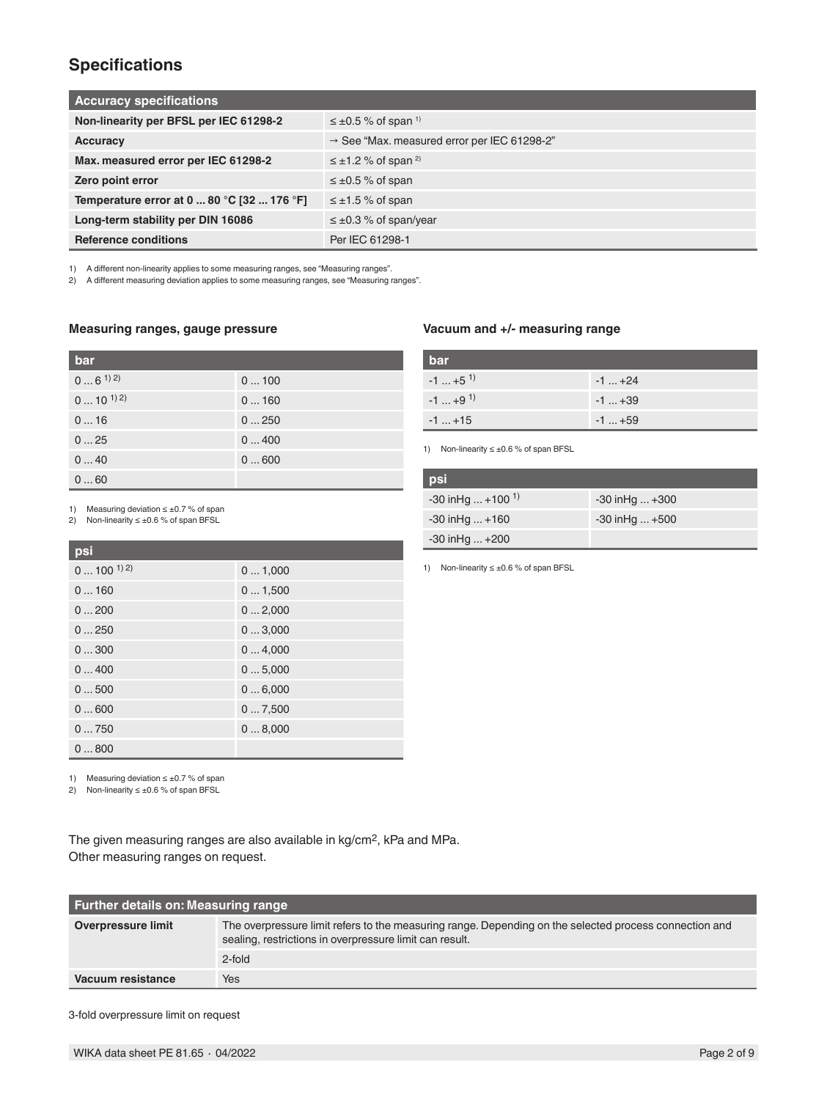### **Specifications**

| <b>Accuracy specifications</b>             |                                                         |  |  |  |
|--------------------------------------------|---------------------------------------------------------|--|--|--|
| Non-linearity per BFSL per IEC 61298-2     | $\leq \pm 0.5$ % of span <sup>1)</sup>                  |  |  |  |
| Accuracy                                   | $\rightarrow$ See "Max. measured error per IEC 61298-2" |  |  |  |
| Max. measured error per IEC 61298-2        | $\leq \pm 1.2$ % of span <sup>2)</sup>                  |  |  |  |
| Zero point error                           | $\leq \pm 0.5$ % of span                                |  |  |  |
| Temperature error at 0  80 °C [32  176 °F] | $\leq \pm 1.5$ % of span                                |  |  |  |
| Long-term stability per DIN 16086          | $\leq \pm 0.3$ % of span/year                           |  |  |  |
| <b>Reference conditions</b>                | Per IEC 61298-1                                         |  |  |  |

1) A different non-linearity applies to some measuring ranges, see "Measuring ranges".

2) A different measuring deviation applies to some measuring ranges, see "Measuring ranges".

#### **Measuring ranges, gauge pressure**

| bar               |      |
|-------------------|------|
| $06^{1/2}$        | 0100 |
| $0 \dots 10^{12}$ | 0160 |
| 016               | 0250 |
| 025               | 0400 |
| 040               | 0600 |
| 060               |      |

1) Measuring deviation ≤ ±0.7 % of span

2) Non-linearity ≤ ±0.6 % of span BFSL

#### **psi**

| <u>PST</u>          |        |
|---------------------|--------|
| $0 \dots 100^{1/2}$ | 01,000 |
| 0160                | 01,500 |
| 0200                | 02,000 |
| 0250                | 03,000 |
| 0300                | 04,000 |
| 0400                | 05,000 |
| 0500                | 06,000 |
| 0600                | 07,500 |
| 0750                | 08,000 |
| 0800                |        |

1) Measuring deviation ≤ ±0.7 % of span

2) Non-linearity ≤ ±0.6 % of span BFSL

The given measuring ranges are also available in kg/cm2, kPa and MPa. Other measuring ranges on request.

| <b>Further details on: Measuring range</b> |                                                                                                                                                                   |  |  |  |
|--------------------------------------------|-------------------------------------------------------------------------------------------------------------------------------------------------------------------|--|--|--|
| Overpressure limit                         | The overpressure limit refers to the measuring range. Depending on the selected process connection and<br>sealing, restrictions in overpressure limit can result. |  |  |  |
|                                            | 2-fold                                                                                                                                                            |  |  |  |
| Vacuum resistance                          | Yes                                                                                                                                                               |  |  |  |

3-fold overpressure limit on request

### **Vacuum and +/- measuring range**

| bar                   |            |
|-----------------------|------------|
| $-1$ +5 <sup>1)</sup> | $-1$ $+24$ |
| $-1$ +9 <sup>1)</sup> | $-1$ $+39$ |
| $-1+15$               | $-1$ $+59$ |

1) Non-linearity ≤ ±0.6 % of span BFSL

| <b>psi</b>                      |                      |
|---------------------------------|----------------------|
| $-30$ in Hg  +100 <sup>1)</sup> | $-30$ inHg $+300$    |
| $-30$ in Hg $ + 160$            | $-30$ in Hg $ + 500$ |
| $-30$ in Hg $+200$              |                      |

1) Non-linearity ≤ ±0.6 % of span BFSL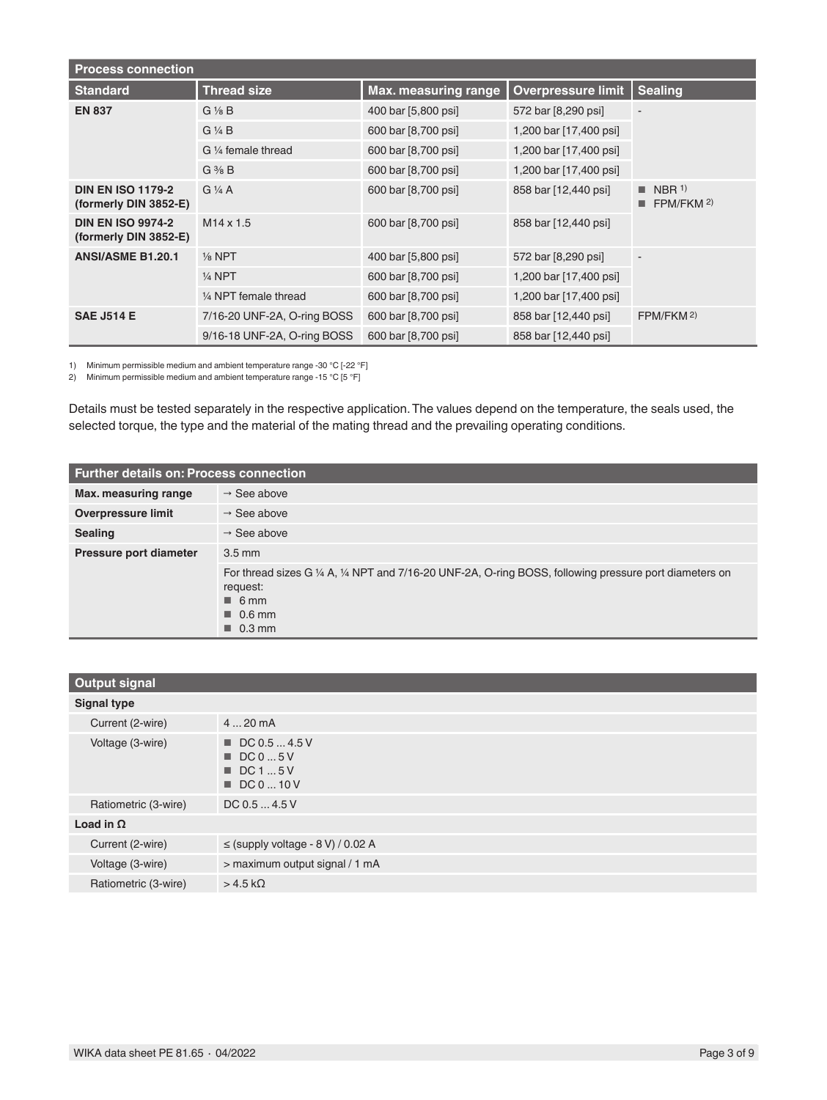| <b>Process connection</b>                         |                             |                             |                           |                                                |  |
|---------------------------------------------------|-----------------------------|-----------------------------|---------------------------|------------------------------------------------|--|
| <b>Standard</b>                                   | <b>Thread size</b>          | <b>Max. measuring range</b> | <b>Overpressure limit</b> | <b>Sealing</b>                                 |  |
| <b>EN 837</b>                                     | $G\frac{1}{8}B$             | 400 bar [5,800 psi]         | 572 bar [8,290 psi]       | $\overline{\phantom{a}}$                       |  |
|                                                   | $G\mathrel{\vee} A B$       | 600 bar [8,700 psi]         | 1,200 bar [17,400 psi]    |                                                |  |
|                                                   | G 1/4 female thread         | 600 bar [8,700 psi]         | 1,200 bar [17,400 psi]    |                                                |  |
|                                                   | $G \frac{3}{8} B$           | 600 bar [8,700 psi]         | 1,200 bar [17,400 psi]    |                                                |  |
| <b>DIN EN ISO 1179-2</b><br>(formerly DIN 3852-E) | $G\frac{1}{4}A$             | 600 bar [8,700 psi]         | 858 bar [12,440 psi]      | $\blacksquare$ NBR <sup>1)</sup><br>FPM/FKM 2) |  |
| <b>DIN EN ISO 9974-2</b><br>(formerly DIN 3852-E) | $M14 \times 1.5$            | 600 bar [8,700 psi]         | 858 bar [12,440 psi]      |                                                |  |
| <b>ANSI/ASME B1.20.1</b>                          | $\frac{1}{8}$ NPT           | 400 bar [5,800 psi]         | 572 bar [8,290 psi]       | $\overline{\phantom{a}}$                       |  |
|                                                   | $1/4$ NPT                   | 600 bar [8,700 psi]         | 1,200 bar [17,400 psi]    |                                                |  |
|                                                   | 1/4 NPT female thread       | 600 bar [8,700 psi]         | 1,200 bar [17,400 psi]    |                                                |  |
| <b>SAE J514 E</b>                                 | 7/16-20 UNF-2A, O-ring BOSS | 600 bar [8,700 psi]         | 858 bar [12,440 psi]      | FPM/FKM 2)                                     |  |
|                                                   | 9/16-18 UNF-2A, O-ring BOSS | 600 bar [8,700 psi]         | 858 bar [12,440 psi]      |                                                |  |

1) Minimum permissible medium and ambient temperature range -30 °C [-22 °F]

2) Minimum permissible medium and ambient temperature range -15 °C [5 °F]

Details must be tested separately in the respective application. The values depend on the temperature, the seals used, the selected torque, the type and the material of the mating thread and the prevailing operating conditions.

| <b>Further details on: Process connection</b> |                                                                                                                                                                                              |  |  |  |
|-----------------------------------------------|----------------------------------------------------------------------------------------------------------------------------------------------------------------------------------------------|--|--|--|
| Max. measuring range                          | $\rightarrow$ See above                                                                                                                                                                      |  |  |  |
| <b>Overpressure limit</b>                     | $\rightarrow$ See above                                                                                                                                                                      |  |  |  |
| <b>Sealing</b>                                | $\rightarrow$ See above                                                                                                                                                                      |  |  |  |
| Pressure port diameter                        | $3.5 \text{ mm}$                                                                                                                                                                             |  |  |  |
|                                               | For thread sizes G 1/4 A, 1/4 NPT and 7/16-20 UNF-2A, O-ring BOSS, following pressure port diameters on<br>request:<br>$\blacksquare$ 6 mm<br>$\blacksquare$ 0.6 mm<br>$\blacksquare$ 0.3 mm |  |  |  |

| <b>Output signal</b> |                                                                                                      |
|----------------------|------------------------------------------------------------------------------------------------------|
| <b>Signal type</b>   |                                                                                                      |
| Current (2-wire)     | $420$ mA                                                                                             |
| Voltage (3-wire)     | $\blacksquare$ DC 0.5  4.5 V<br>$\blacksquare$ DC 0  5 V<br>$\blacksquare$ DC 1  5 V<br>■ DC 0  10 V |
| Ratiometric (3-wire) | DC 0.5  4.5 V                                                                                        |
| Load in $\Omega$     |                                                                                                      |
| Current (2-wire)     | $\leq$ (supply voltage - 8 V) / 0.02 A                                                               |
| Voltage (3-wire)     | > maximum output signal / 1 mA                                                                       |
| Ratiometric (3-wire) | $>$ 4.5 k $\Omega$                                                                                   |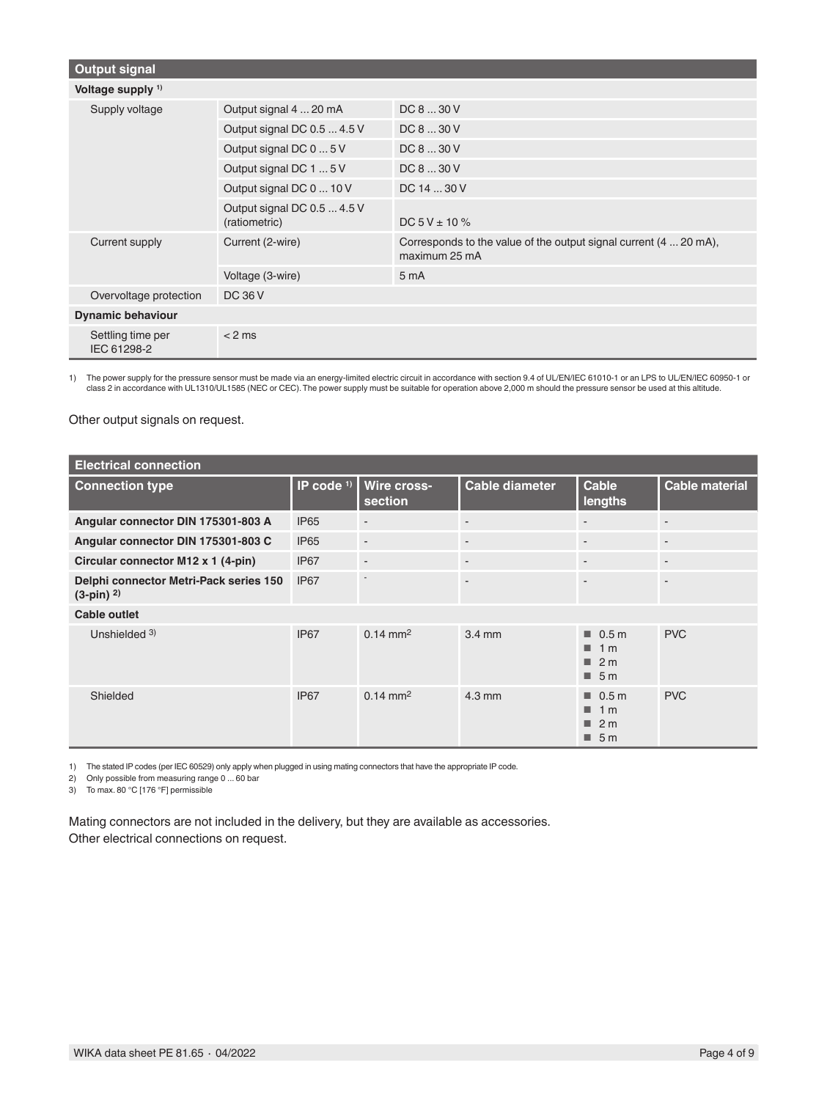| <b>Output signal</b>             |                                              |                                                                                    |
|----------------------------------|----------------------------------------------|------------------------------------------------------------------------------------|
| Voltage supply <sup>1)</sup>     |                                              |                                                                                    |
| Supply voltage                   | Output signal 4  20 mA                       | DC 8  30 V                                                                         |
|                                  | Output signal DC 0.5  4.5 V                  | DC 8  30 V                                                                         |
|                                  | Output signal DC 0  5 V                      | DC 8  30 V                                                                         |
|                                  | Output signal DC 1  5 V                      | DC 8  30 V                                                                         |
|                                  | Output signal DC 0  10 V                     | DC 14  30 V                                                                        |
|                                  | Output signal DC 0.5  4.5 V<br>(ratiometric) | $DC 5 V \pm 10 \%$                                                                 |
| Current supply                   | Current (2-wire)                             | Corresponds to the value of the output signal current (4  20 mA),<br>maximum 25 mA |
|                                  | Voltage (3-wire)                             | 5 <sub>m</sub> A                                                                   |
| Overvoltage protection           | DC 36 V                                      |                                                                                    |
| <b>Dynamic behaviour</b>         |                                              |                                                                                    |
| Settling time per<br>IEC 61298-2 | $< 2$ ms                                     |                                                                                    |

1) The power supply for the pressure sensor must be made via an energy-limited electric circuit in accordance with section 9.4 of UL/EN/IEC 61010-1 or an LPS to UL/EN/IEC 60950-1 or<br>class 2 in accordance with UL1310/UL1585

Other output signals on request.

| <b>Electrical connection</b>                           |                  |                          |                          |                                                                         |                       |
|--------------------------------------------------------|------------------|--------------------------|--------------------------|-------------------------------------------------------------------------|-----------------------|
| <b>Connection type</b>                                 | IP code $1$ )    | Wire cross-<br>section   | <b>Cable diameter</b>    | <b>Cable</b><br>lengths                                                 | <b>Cable material</b> |
| Angular connector DIN 175301-803 A                     | <b>IP65</b>      | $\overline{\phantom{a}}$ | $\overline{\phantom{a}}$ | $\blacksquare$                                                          | $\sim$                |
| Angular connector DIN 175301-803 C                     | <b>IP65</b>      | $\overline{\phantom{a}}$ | $\overline{\phantom{a}}$ | $\overline{\phantom{a}}$                                                | $\sim$                |
| Circular connector M12 x 1 (4-pin)                     | IP <sub>67</sub> | $\overline{\phantom{a}}$ | ٠                        |                                                                         |                       |
| Delphi connector Metri-Pack series 150<br>$(3-pin)$ 2) | IP <sub>67</sub> |                          | ÷                        | $\overline{a}$                                                          | ٠                     |
| <b>Cable outlet</b>                                    |                  |                          |                          |                                                                         |                       |
| Unshielded 3)                                          | <b>IP67</b>      | $0.14 \text{ mm}^2$      | $3.4 \text{ mm}$         | $\blacksquare$ 0.5 m<br>1 m<br>$\blacksquare$ 2 m<br>$\blacksquare$ 5 m | <b>PVC</b>            |
| Shielded                                               | <b>IP67</b>      | $0.14 \text{ mm}^2$      | $4.3 \text{ mm}$         | $\blacksquare$ 0.5 m<br>1m<br>$\blacksquare$ 2 m<br>$\blacksquare$ 5 m  | <b>PVC</b>            |

1) The stated IP codes (per IEC 60529) only apply when plugged in using mating connectors that have the appropriate IP code.

2) Only possible from measuring range 0 ... 60 bar

3) To max. 80 °C [176 °F] permissible

Mating connectors are not included in the delivery, but they are available as accessories. Other electrical connections on request.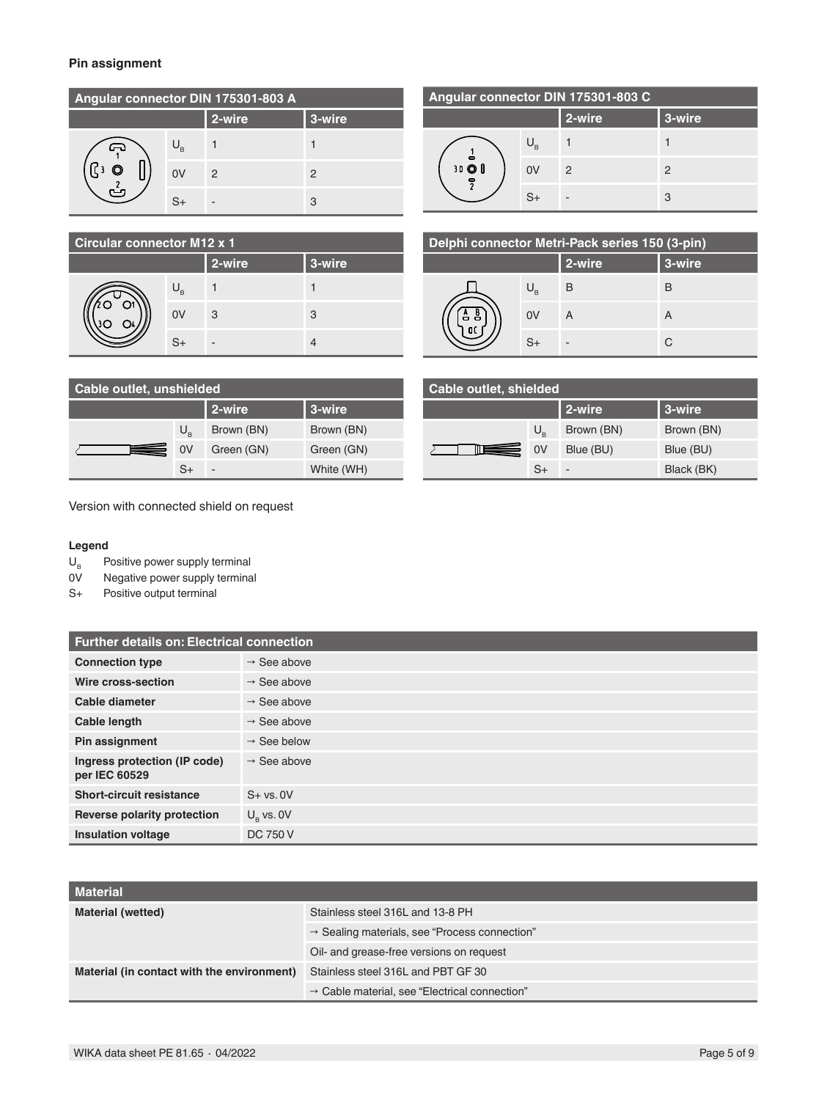#### **Pin assignment**

| Angular connector DIN 175301-803 A                                    |      |               |   |  |  |
|-----------------------------------------------------------------------|------|---------------|---|--|--|
| 2-wire<br>3-wire                                                      |      |               |   |  |  |
| ౚ<br>$\left\lceil \left( \cdot \right) \right\rceil$<br>$\frac{1}{2}$ |      |               |   |  |  |
|                                                                       | 0V   | $\mathcal{P}$ | 2 |  |  |
|                                                                       | $S+$ |               | 3 |  |  |

| Angular connector DIN 175301-803 C |                 |               |   |  |  |
|------------------------------------|-----------------|---------------|---|--|--|
| 2-wire<br>3-wire                   |                 |               |   |  |  |
| 30 O I<br>$\overline{z}$           | J <sub>B.</sub> |               |   |  |  |
|                                    | 0V              | $\mathcal{P}$ | 2 |  |  |
|                                    | $S+$            |               | 3 |  |  |

| <b>Circular connector M12 x 1</b> |                |        |        |  |  |
|-----------------------------------|----------------|--------|--------|--|--|
|                                   |                | 2-wire | 3-wire |  |  |
|                                   | U <sub>B</sub> |        |        |  |  |
|                                   | 0V             | 3      | З      |  |  |
|                                   | $S_{+}$        |        |        |  |  |

| Delphi connector Metri-Pack series 150 (3-pin) |        |        |   |  |  |
|------------------------------------------------|--------|--------|---|--|--|
|                                                | 2-wire | 3-wire |   |  |  |
|                                                |        | B      | B |  |  |
| 음                                              | 0V     | A      | A |  |  |
|                                                | $S+$   |        | C |  |  |

| Cable outlet, unshielded |             |                          | Cable outlet, shielded |  |     |                 |            |            |
|--------------------------|-------------|--------------------------|------------------------|--|-----|-----------------|------------|------------|
|                          |             | 2-wire                   | 3-wire                 |  |     |                 | l 2-wire   | l 3-wire   |
|                          | $U_{\rm R}$ | Brown (BN)               | Brown (BN)             |  |     | $U_{\rm a}$     | Brown (BN) | Brown (BN) |
|                          | 0V          | Green (GN)               | Green (GN)             |  | ▆▆▅ | $\overline{0V}$ | Blue (BU)  | Blue (BU)  |
|                          | $S+$        | $\overline{\phantom{a}}$ | White (WH)             |  |     | $S+$            |            | Black (BK) |

Version with connected shield on request

#### **Legend**

 $U_B$  Positive power supply terminal<br>OV Negative power supply termina

Negative power supply terminal

S+ Positive output terminal

| <b>Further details on: Electrical connection</b> |                         |  |  |  |
|--------------------------------------------------|-------------------------|--|--|--|
| <b>Connection type</b>                           | $\rightarrow$ See above |  |  |  |
| Wire cross-section                               | $\rightarrow$ See above |  |  |  |
| Cable diameter                                   | $\rightarrow$ See above |  |  |  |
| Cable length                                     | $\rightarrow$ See above |  |  |  |
| Pin assignment                                   | $\rightarrow$ See below |  |  |  |
| Ingress protection (IP code)<br>per IEC 60529    | $\rightarrow$ See above |  |  |  |
| <b>Short-circuit resistance</b>                  | $S + vs. 0V$            |  |  |  |
| Reverse polarity protection                      | $U_{\rm o}$ vs. 0V      |  |  |  |
| <b>Insulation voltage</b>                        | <b>DC 750 V</b>         |  |  |  |

| <b>Material</b>                            |                                                           |
|--------------------------------------------|-----------------------------------------------------------|
| Material (wetted)                          | Stainless steel 316L and 13-8 PH                          |
|                                            | $\rightarrow$ Sealing materials, see "Process connection" |
|                                            | Oil- and grease-free versions on request                  |
| Material (in contact with the environment) | Stainless steel 316L and PBT GF 30                        |
|                                            | $\rightarrow$ Cable material, see "Electrical connection" |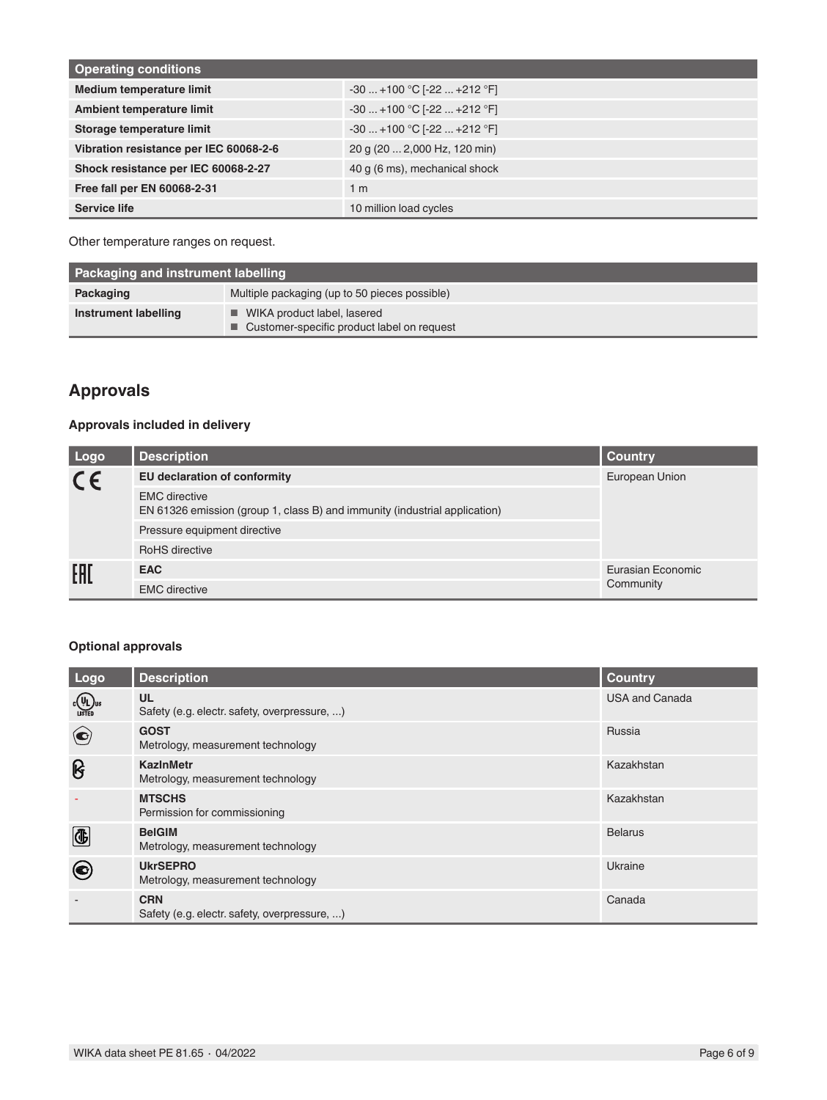| <b>Operating conditions</b>            |                               |
|----------------------------------------|-------------------------------|
| <b>Medium temperature limit</b>        | $-30+100 °C$ $-22+212 °F$     |
| Ambient temperature limit              | $-30+100 °C[-22+212 °F]$      |
| Storage temperature limit              | $-30+100 °C$ $-22+212 °F$     |
| Vibration resistance per IEC 60068-2-6 | 20 g (20  2,000 Hz, 120 min)  |
| Shock resistance per IEC 60068-2-27    | 40 g (6 ms), mechanical shock |
| Free fall per EN 60068-2-31            | 1 <sub>m</sub>                |
| Service life                           | 10 million load cycles        |

Other temperature ranges on request.

| Packaging and instrument labelling |                                                                                            |  |  |
|------------------------------------|--------------------------------------------------------------------------------------------|--|--|
| Packaging                          | Multiple packaging (up to 50 pieces possible)                                              |  |  |
| Instrument labelling               | $\blacksquare$ WIKA product label, lasered<br>■ Customer-specific product label on request |  |  |

### <span id="page-5-0"></span>**Approvals**

### **Approvals included in delivery**

| Logo    | <b>Description</b>                                                                                 | <b>Country</b>    |
|---------|----------------------------------------------------------------------------------------------------|-------------------|
| $C \in$ | <b>EU declaration of conformity</b>                                                                | European Union    |
|         | <b>EMC</b> directive<br>EN 61326 emission (group 1, class B) and immunity (industrial application) |                   |
|         | Pressure equipment directive                                                                       |                   |
|         | <b>RoHS</b> directive                                                                              |                   |
| EAI     | <b>EAC</b>                                                                                         | Eurasian Economic |
|         | <b>EMC</b> directive                                                                               | Community         |

### **Optional approvals**

| Logo                     | <b>Description</b>                                         | <b>Country</b>        |
|--------------------------|------------------------------------------------------------|-----------------------|
| $c(\psi_L)_v$<br>LISTED  | <b>UL</b><br>Safety (e.g. electr. safety, overpressure, )  | <b>USA and Canada</b> |
| $\left( \bullet \right)$ | <b>GOST</b><br>Metrology, measurement technology           | Russia                |
| ၆                        | <b>KazinMetr</b><br>Metrology, measurement technology      | Kazakhstan            |
|                          | <b>MTSCHS</b><br>Permission for commissioning              | Kazakhstan            |
| $\bigcirc$               | <b>BelGIM</b><br>Metrology, measurement technology         | <b>Belarus</b>        |
| $\left( \bullet \right)$ | <b>UkrSEPRO</b><br>Metrology, measurement technology       | Ukraine               |
|                          | <b>CRN</b><br>Safety (e.g. electr. safety, overpressure, ) | Canada                |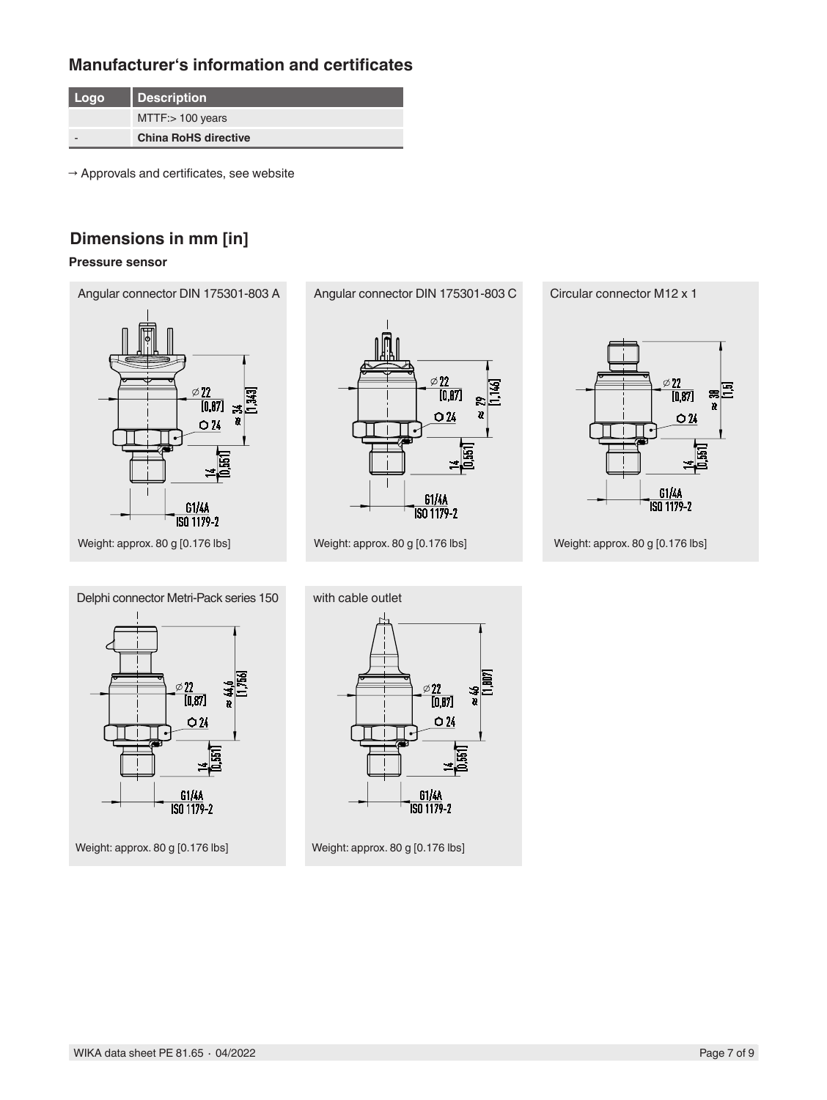### **Manufacturer's information and certificates**

| Logo | <b>Description</b>          |
|------|-----------------------------|
|      | $MTTF$ : $100$ years        |
|      | <b>China RoHS directive</b> |

 $\rightarrow$  Approvals and certificates, see website

## **Dimensions in mm [in]**

#### **Pressure sensor**

Angular connector DIN 175301-803 A Angular connector DIN 175301-803 C Circular connector M12 x 1









with cable outlet  $\emptyset$  22  $\overline{[0.87]}$  $O<sub>24</sub>$ 61/4A<br>ISO 1179-2

Weight: approx. 80 g [0.176 lbs] Weight: approx. 80 g [0.176 lbs]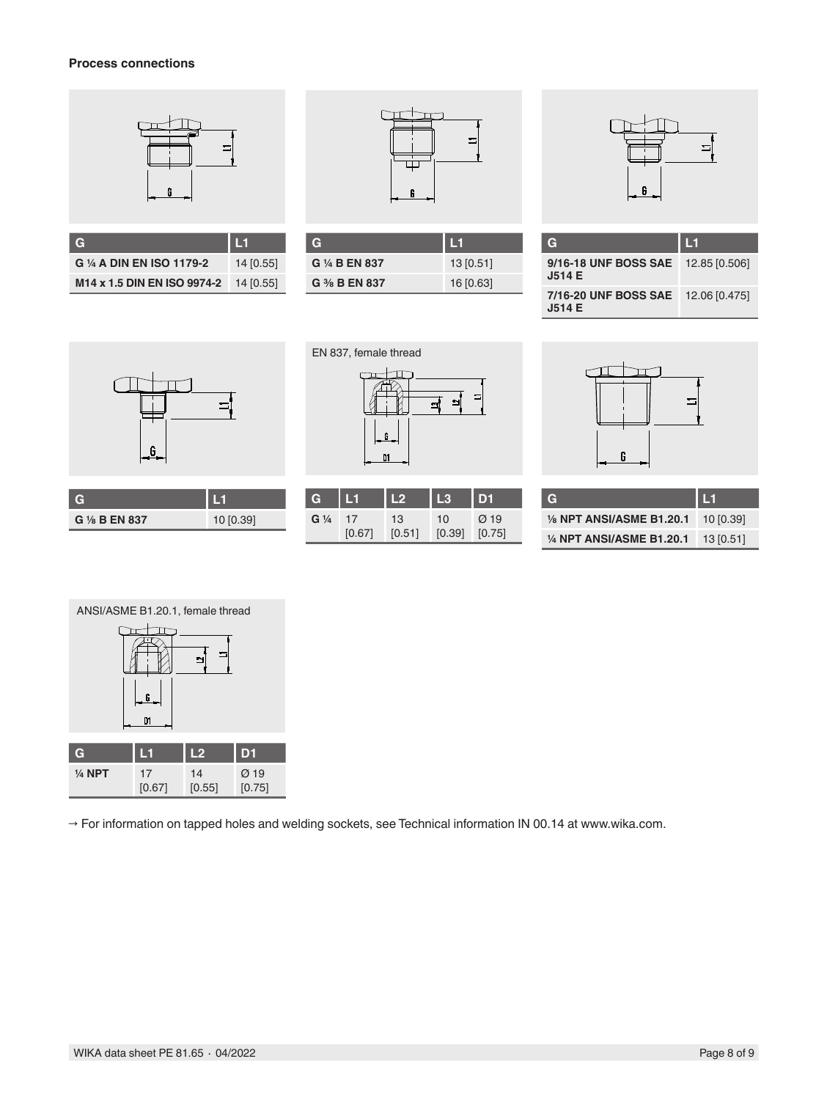#### **Process connections**



| G                           | l L1      |
|-----------------------------|-----------|
| G 1/4 A DIN EN ISO 1179-2   | 14 [0.55] |
| M14 x 1.5 DIN EN ISO 9974-2 | 14 [0.55] |



| G              |           |
|----------------|-----------|
| G 1/4 B EN 837 | 13[0.51]  |
| G % B EN 837   | 16 [0.63] |



| G                                                   | $\blacksquare$ |
|-----------------------------------------------------|----------------|
| 9/16-18 UNF BOSS SAE 12.85 [0.506]<br>J514 E        |                |
| 7/16-20 UNF BOSS SAE 12.06 [0.475]<br><b>J514 E</b> |                |



| G 1/8 B EN 837 | 10 [0.39] |
|----------------|-----------|

|   |   | G<br>DI | <u>ی</u><br>÷ | $\equiv$       |
|---|---|---------|---------------|----------------|
|   |   |         |               |                |
| G | H | L2      | L3            | D <sub>1</sub> |

 $\pm$ 

10

[0.39] [0.75] Ø 19

13 [0.51]

**G ¼** 17

[0.67]

EN 837, female thread

 $\Box$ 



| TC.                       | I L1      |
|---------------------------|-----------|
| 1/8 NPT ANSI/ASME B1.20.1 | 10 [0.39] |
| 1/4 NPT ANSI/ASME B1.20.1 | 13[0.51]  |



→ For information on tapped holes and welding sockets, see Technical information IN 00.14 at www.wika.com.